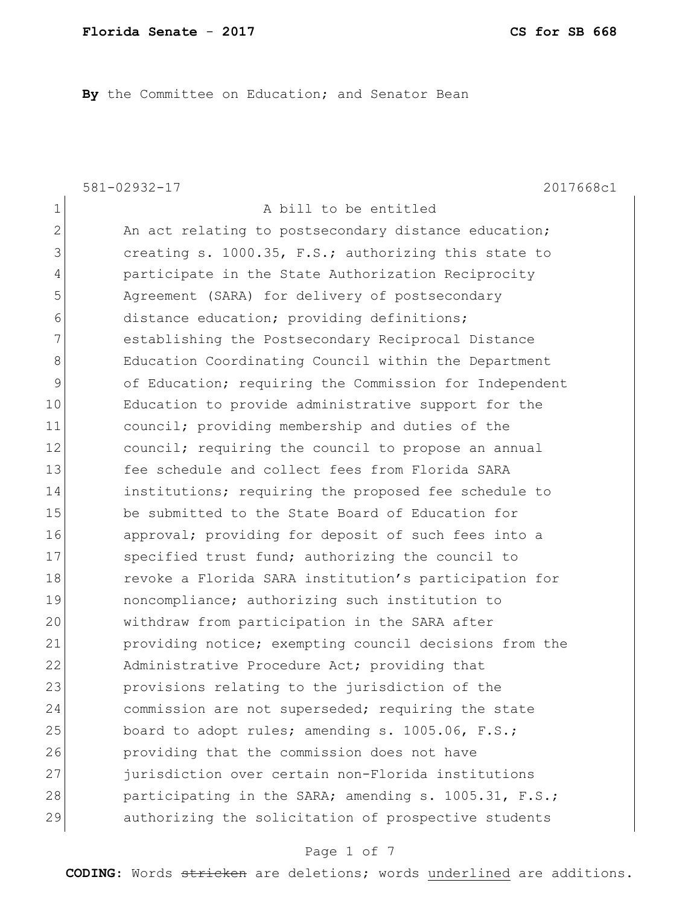**By** the Committee on Education; and Senator Bean

581-02932-17 2017668c1 1 a bill to be entitled 2 An act relating to postsecondary distance education; 3 3 creating s. 1000.35, F.S.; authorizing this state to 4 participate in the State Authorization Reciprocity 5 Agreement (SARA) for delivery of postsecondary 6 distance education; providing definitions; 7 **establishing the Postsecondary Reciprocal Distance** 8 Education Coordinating Council within the Department 9 of Education; requiring the Commission for Independent 10 Education to provide administrative support for the 11 council; providing membership and duties of the 12 council; requiring the council to propose an annual 13 fee schedule and collect fees from Florida SARA 14 institutions; requiring the proposed fee schedule to 15 be submitted to the State Board of Education for 16 approval; providing for deposit of such fees into a 17 Specified trust fund; authorizing the council to 18 revoke a Florida SARA institution's participation for 19 noncompliance; authorizing such institution to 20 withdraw from participation in the SARA after 21 providing notice; exempting council decisions from the 22 Administrative Procedure Act; providing that 23 provisions relating to the jurisdiction of the 24 commission are not superseded; requiring the state 25 board to adopt rules; amending s. 1005.06, F.S.; 26 providing that the commission does not have 27 *jurisdiction over certain non-Florida institutions* 28 participating in the SARA; amending s. 1005.31, F.S.; 29 authorizing the solicitation of prospective students

#### Page 1 of 7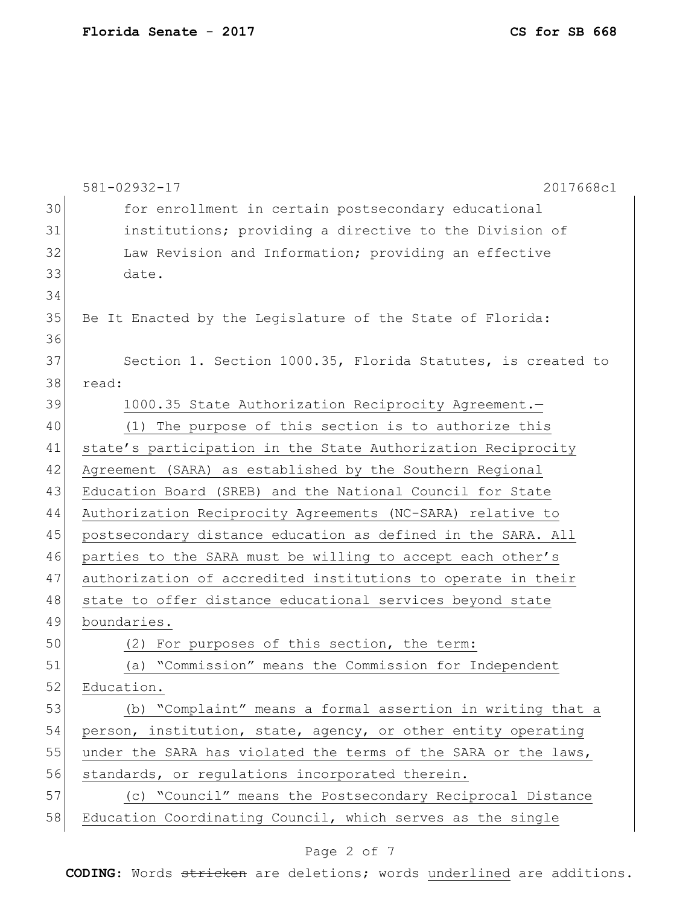|    | 581-02932-17<br>2017668c1                                      |
|----|----------------------------------------------------------------|
| 30 | for enrollment in certain postsecondary educational            |
| 31 | institutions; providing a directive to the Division of         |
| 32 | Law Revision and Information; providing an effective           |
| 33 | date.                                                          |
| 34 |                                                                |
| 35 | Be It Enacted by the Legislature of the State of Florida:      |
| 36 |                                                                |
| 37 | Section 1. Section 1000.35, Florida Statutes, is created to    |
| 38 | read:                                                          |
| 39 | 1000.35 State Authorization Reciprocity Agreement.-            |
| 40 | (1) The purpose of this section is to authorize this           |
| 41 | state's participation in the State Authorization Reciprocity   |
| 42 | Agreement (SARA) as established by the Southern Regional       |
| 43 | Education Board (SREB) and the National Council for State      |
| 44 | Authorization Reciprocity Agreements (NC-SARA) relative to     |
| 45 | postsecondary distance education as defined in the SARA. All   |
| 46 | parties to the SARA must be willing to accept each other's     |
| 47 | authorization of accredited institutions to operate in their   |
| 48 | state to offer distance educational services beyond state      |
| 49 | boundaries.                                                    |
| 50 | For purposes of this section, the term:<br>(2)                 |
| 51 | "Commission" means the Commission for Independent<br>(a)       |
| 52 | Education.                                                     |
| 53 | (b) "Complaint" means a formal assertion in writing that a     |
| 54 | person, institution, state, agency, or other entity operating  |
| 55 | under the SARA has violated the terms of the SARA or the laws, |
| 56 | standards, or regulations incorporated therein.                |
| 57 | (c) "Council" means the Postsecondary Reciprocal Distance      |
| 58 | Education Coordinating Council, which serves as the single     |
|    |                                                                |

# Page 2 of 7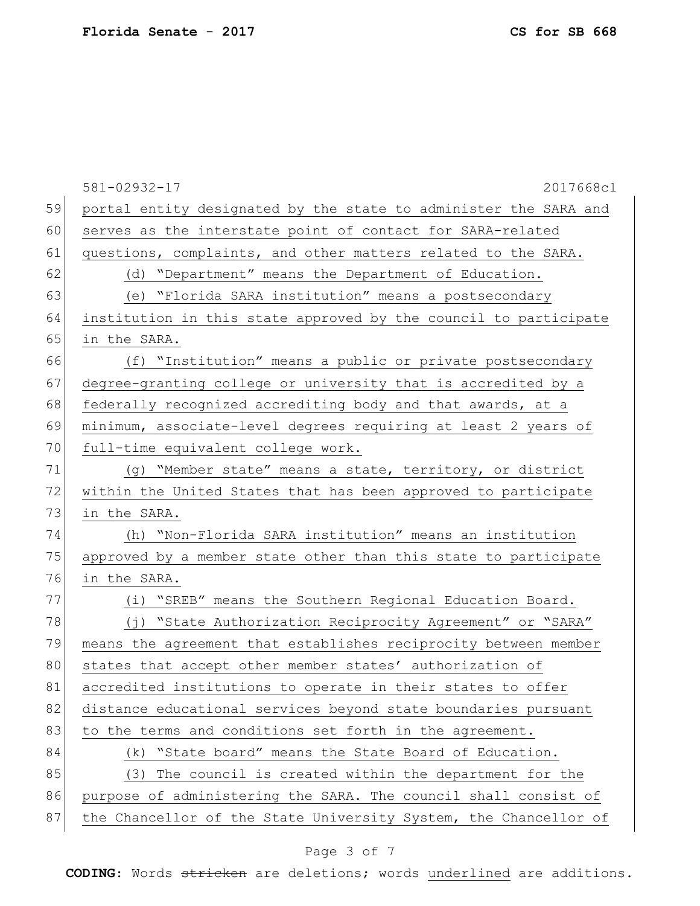581-02932-17 2017668c1 59 portal entity designated by the state to administer the SARA and 60 serves as the interstate point of contact for SARA-related 61 questions, complaints, and other matters related to the SARA. 62 (d) "Department" means the Department of Education. 63 (e) "Florida SARA institution" means a postsecondary 64 institution in this state approved by the council to participate 65 in the SARA. 66 (f) "Institution" means a public or private postsecondary 67 degree-granting college or university that is accredited by a 68 federally recognized accrediting body and that awards, at a 69 minimum, associate-level degrees requiring at least 2 years of 70 full-time equivalent college work. 71 (g) "Member state" means a state, territory, or district 72 within the United States that has been approved to participate 73 in the SARA. 74 (h) "Non-Florida SARA institution" means an institution 75 approved by a member state other than this state to participate 76 in the SARA. 77 (i) "SREB" means the Southern Regional Education Board. 78 (j) "State Authorization Reciprocity Agreement" or "SARA" 79 means the agreement that establishes reciprocity between member 80 states that accept other member states' authorization of 81 accredited institutions to operate in their states to offer 82 distance educational services beyond state boundaries pursuant 83 to the terms and conditions set forth in the agreement. 84 (k) "State board" means the State Board of Education. 85 (3) The council is created within the department for the 86 purpose of administering the SARA. The council shall consist of 87 the Chancellor of the State University System, the Chancellor of

#### Page 3 of 7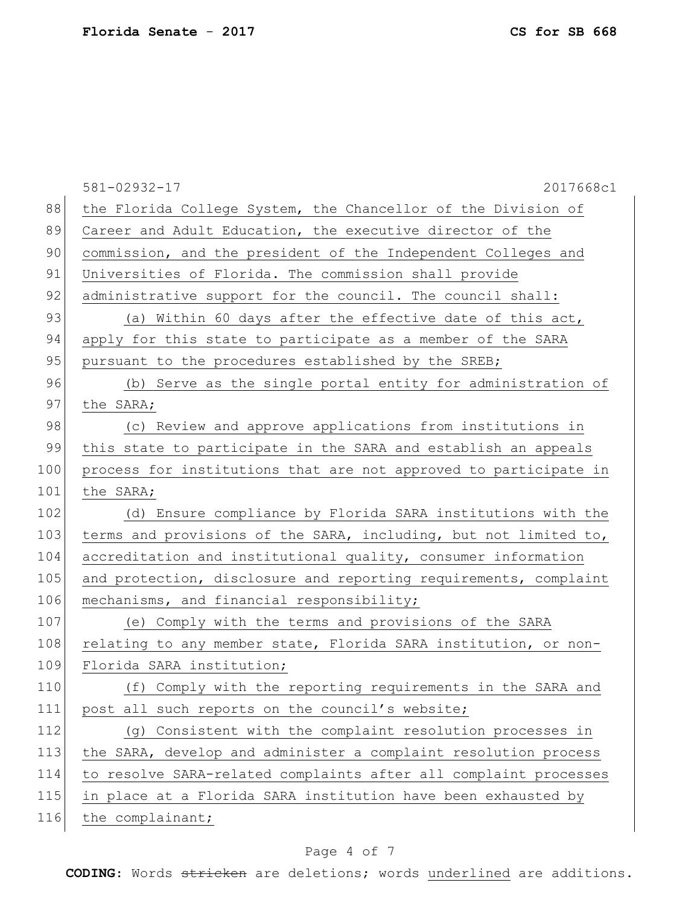|     | 2017668c1<br>$581 - 02932 - 17$                                  |
|-----|------------------------------------------------------------------|
| 88  | the Florida College System, the Chancellor of the Division of    |
| 89  | Career and Adult Education, the executive director of the        |
| 90  | commission, and the president of the Independent Colleges and    |
| 91  | Universities of Florida. The commission shall provide            |
| 92  | administrative support for the council. The council shall:       |
| 93  | (a) Within 60 days after the effective date of this act,         |
| 94  | apply for this state to participate as a member of the SARA      |
| 95  | pursuant to the procedures established by the SREB;              |
| 96  | (b) Serve as the single portal entity for administration of      |
| 97  | the SARA;                                                        |
| 98  | (c) Review and approve applications from institutions in         |
| 99  | this state to participate in the SARA and establish an appeals   |
| 100 | process for institutions that are not approved to participate in |
| 101 | the SARA;                                                        |
| 102 | (d) Ensure compliance by Florida SARA institutions with the      |
| 103 | terms and provisions of the SARA, including, but not limited to, |
| 104 | accreditation and institutional quality, consumer information    |
| 105 | and protection, disclosure and reporting requirements, complaint |
| 106 | mechanisms, and financial responsibility;                        |
| 107 | (e) Comply with the terms and provisions of the SARA             |
| 108 | relating to any member state, Florida SARA institution, or non-  |
| 109 | Florida SARA institution;                                        |
| 110 | (f) Comply with the reporting requirements in the SARA and       |
| 111 | post all such reports on the council's website;                  |
| 112 | (g) Consistent with the complaint resolution processes in        |
| 113 | the SARA, develop and administer a complaint resolution process  |
| 114 | to resolve SARA-related complaints after all complaint processes |
| 115 | in place at a Florida SARA institution have been exhausted by    |
| 116 | the complainant;                                                 |

# Page 4 of 7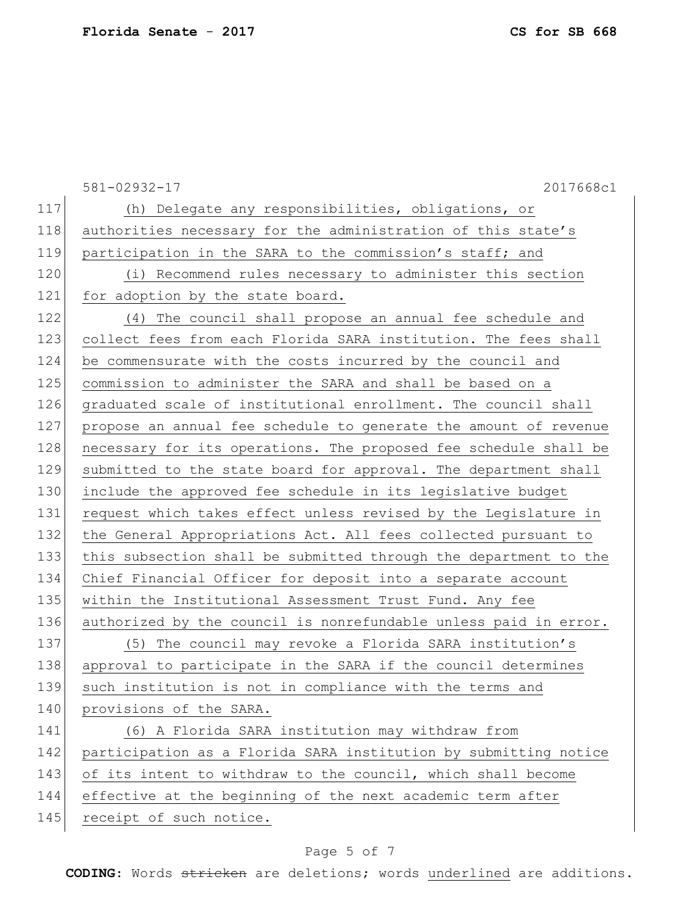|     | 581-02932-17<br>2017668c1                                        |
|-----|------------------------------------------------------------------|
| 117 | (h) Delegate any responsibilities, obligations, or               |
| 118 | authorities necessary for the administration of this state's     |
| 119 | participation in the SARA to the commission's staff; and         |
| 120 | (i) Recommend rules necessary to administer this section         |
| 121 | for adoption by the state board.                                 |
| 122 | (4) The council shall propose an annual fee schedule and         |
| 123 | collect fees from each Florida SARA institution. The fees shall  |
| 124 | be commensurate with the costs incurred by the council and       |
| 125 | commission to administer the SARA and shall be based on a        |
| 126 | graduated scale of institutional enrollment. The council shall   |
| 127 | propose an annual fee schedule to generate the amount of revenue |
| 128 | necessary for its operations. The proposed fee schedule shall be |
| 129 | submitted to the state board for approval. The department shall  |
| 130 | include the approved fee schedule in its legislative budget      |
| 131 | request which takes effect unless revised by the Legislature in  |
| 132 | the General Appropriations Act. All fees collected pursuant to   |
| 133 | this subsection shall be submitted through the department to the |
| 134 | Chief Financial Officer for deposit into a separate account      |
| 135 | within the Institutional Assessment Trust Fund. Any fee          |
| 136 | authorized by the council is nonrefundable unless paid in error. |
| 137 | (5) The council may revoke a Florida SARA institution's          |
| 138 | approval to participate in the SARA if the council determines    |
| 139 | such institution is not in compliance with the terms and         |
| 140 | provisions of the SARA.                                          |
| 141 | (6) A Florida SARA institution may withdraw from                 |
| 142 | participation as a Florida SARA institution by submitting notice |
| 143 | of its intent to withdraw to the council, which shall become     |
| 144 | effective at the beginning of the next academic term after       |
| 145 | receipt of such notice.                                          |

# Page 5 of 7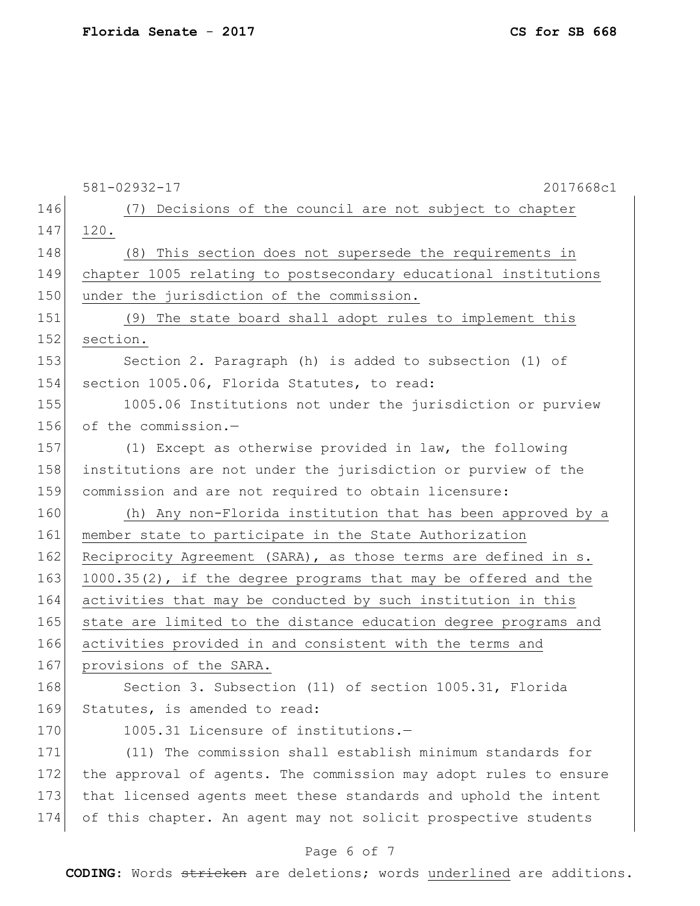581-02932-17 2017668c1 146 (7) Decisions of the council are not subject to chapter 147 120. 148 (8) This section does not supersede the requirements in 149 chapter 1005 relating to postsecondary educational institutions 150 under the jurisdiction of the commission. 151 (9) The state board shall adopt rules to implement this 152 section. 153 Section 2. Paragraph (h) is added to subsection (1) of 154 section 1005.06, Florida Statutes, to read: 155 1005.06 Institutions not under the jurisdiction or purview 156 of the commission.-157 (1) Except as otherwise provided in law, the following 158 institutions are not under the jurisdiction or purview of the 159 commission and are not required to obtain licensure: 160 (h) Any non-Florida institution that has been approved by a 161 member state to participate in the State Authorization 162 Reciprocity Agreement (SARA), as those terms are defined in s. 163 1000.35(2), if the degree programs that may be offered and the 164 activities that may be conducted by such institution in this 165 state are limited to the distance education degree programs and 166 activities provided in and consistent with the terms and 167 provisions of the SARA. 168 Section 3. Subsection (11) of section 1005.31, Florida 169 Statutes, is amended to read: 170 1005.31 Licensure of institutions.-171 (11) The commission shall establish minimum standards for 172 the approval of agents. The commission may adopt rules to ensure 173 that licensed agents meet these standards and uphold the intent 174 of this chapter. An agent may not solicit prospective students

#### Page 6 of 7